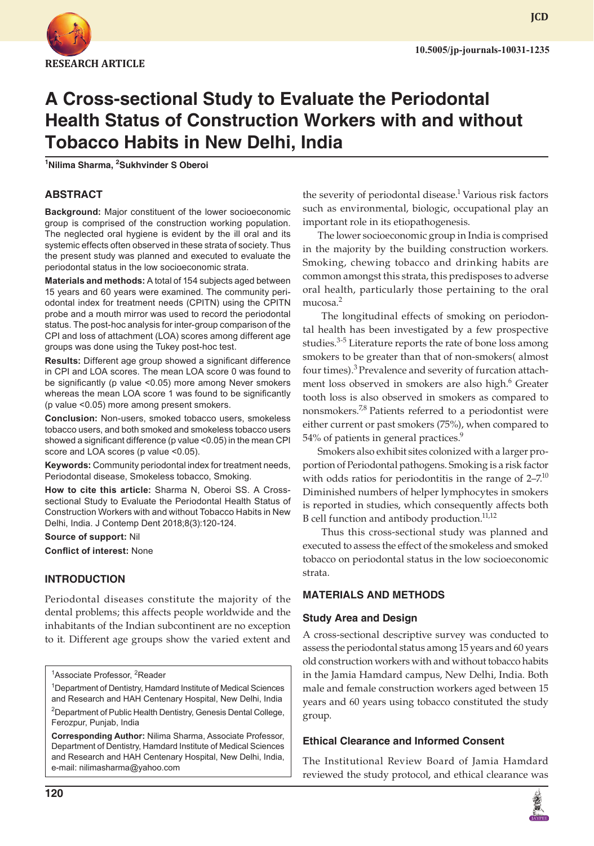

**JCD**

# **A Cross-sectional Study to Evaluate the Periodontal Health Status of Construction Workers with and without Tobacco Habits in New Delhi, India**

**1 Nilima Sharma, 2 Sukhvinder S Oberoi**

# **ABSTRACT**

**Background:** Major constituent of the lower socioeconomic group is comprised of the construction working population. The neglected oral hygiene is evident by the ill oral and its systemic effects often observed in these strata of society. Thus the present study was planned and executed to evaluate the periodontal status in the low socioeconomic strata.

**Materials and methods:** A total of 154 subjects aged between 15 years and 60 years were examined. The community periodontal index for treatment needs (CPITN) using the CPITN probe and a mouth mirror was used to record the periodontal status. The post-hoc analysis for inter-group comparison of the CPI and loss of attachment (LOA) scores among different age groups was done using the Tukey post-hoc test.

**Results:** Different age group showed a significant difference in CPI and LOA scores. The mean LOA score 0 was found to be significantly (p value <0.05) more among Never smokers whereas the mean LOA score 1 was found to be significantly (p value <0.05) more among present smokers.

**Conclusion:** Non-users, smoked tobacco users, smokeless tobacco users, and both smoked and smokeless tobacco users showed a significant difference (p value <0.05) in the mean CPI score and LOA scores (p value <0.05).

**Keywords:** Community periodontal index for treatment needs, Periodontal disease, Smokeless tobacco, Smoking.

**How to cite this article:** Sharma N, Oberoi SS. A Crosssectional Study to Evaluate the Periodontal Health Status of Construction Workers with and without Tobacco Habits in New Delhi, India. J Contemp Dent 2018;8(3):120-124.

**Source of support:** Nil

**Conflict of interest:** None

# **INTRODUCTION**

Periodontal diseases constitute the majority of the dental problems; this affects people worldwide and the inhabitants of the Indian subcontinent are no exception to it. Different age groups show the varied extent and

<sup>1</sup>Associate Professor, <sup>2</sup>Reader

<sup>1</sup> Department of Dentistry, Hamdard Institute of Medical Sciences and Research and HAH Centenary Hospital, New Delhi, India <sup>2</sup>Department of Public Health Dentistry, Genesis Dental College,

Ferozpur, Punjab, India

**Corresponding Author:** Nilima Sharma, Associate Professor, Department of Dentistry, Hamdard Institute of Medical Sciences and Research and HAH Centenary Hospital, New Delhi, India, e-mail: nilimasharma@yahoo.com

the severity of periodontal disease.<sup>1</sup> Various risk factors such as environmental, biologic, occupational play an important role in its etiopathogenesis.

The lower socioeconomic group in India is comprised in the majority by the building construction workers. Smoking, chewing tobacco and drinking habits are common amongst this strata, this predisposes to adverse oral health, particularly those pertaining to the oral mucosa $^2$ 

 The longitudinal effects of smoking on periodontal health has been investigated by a few prospective studies.<sup>3-5</sup> Literature reports the rate of bone loss among smokers to be greater than that of non-smokers( almost four times).<sup>3</sup> Prevalence and severity of furcation attachment loss observed in smokers are also high.<sup>6</sup> Greater tooth loss is also observed in smokers as compared to nonsmokers.<sup>7,8</sup> Patients referred to a periodontist were either current or past smokers (75%), when compared to 54% of patients in general practices.<sup>9</sup>

Smokers also exhibit sites colonized with a larger proportion of Periodontal pathogens. Smoking is a risk factor with odds ratios for periodontitis in the range of  $2-7$ <sup>10</sup> Diminished numbers of helper lymphocytes in smokers is reported in studies, which consequently affects both B cell function and antibody production.<sup>11,12</sup>

Thus this cross-sectional study was planned and executed to assess the effect of the smokeless and smoked tobacco on periodontal status in the low socioeconomic strata.

# **MATERIALS AND METHODS**

# **Study Area and Design**

A cross-sectional descriptive survey was conducted to assess the periodontal status among 15 years and 60 years old construction workers with and without tobacco habits in the Jamia Hamdard campus, New Delhi, India. Both male and female construction workers aged between 15 years and 60 years using tobacco constituted the study group.

# **Ethical Clearance and Informed Consent**

The Institutional Review Board of Jamia Hamdard reviewed the study protocol, and ethical clearance was

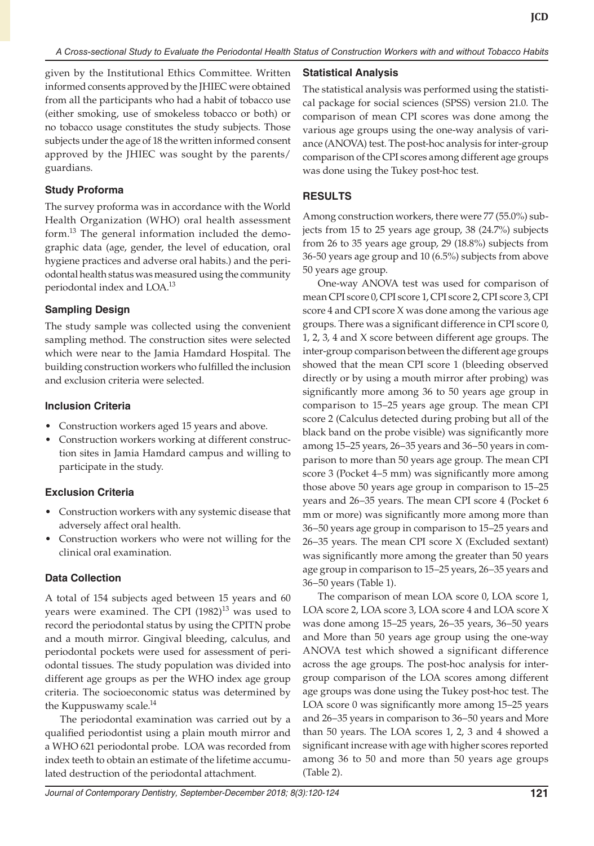given by the Institutional Ethics Committee. Written informed consents approved by the JHIEC were obtained from all the participants who had a habit of tobacco use (either smoking, use of smokeless tobacco or both) or no tobacco usage constitutes the study subjects. Those subjects under the age of 18 the written informed consent approved by the JHIEC was sought by the parents/ guardians.

### **Study Proforma**

The survey proforma was in accordance with the World Health Organization (WHO) oral health assessment form.<sup>13</sup> The general information included the demographic data (age, gender, the level of education, oral hygiene practices and adverse oral habits.) and the periodontal health status was measured using the community periodontal index and LOA.<sup>13</sup>

# **Sampling Design**

The study sample was collected using the convenient sampling method. The construction sites were selected which were near to the Jamia Hamdard Hospital. The building construction workers who fulfilled the inclusion and exclusion criteria were selected.

#### **Inclusion Criteria**

- Construction workers aged 15 years and above.
- Construction workers working at different construction sites in Jamia Hamdard campus and willing to participate in the study.

# **Exclusion Criteria**

- Construction workers with any systemic disease that adversely affect oral health.
- Construction workers who were not willing for the clinical oral examination.

# **Data Collection**

A total of 154 subjects aged between 15 years and 60 years were examined. The CPI  $(1982)^{13}$  was used to record the periodontal status by using the CPITN probe and a mouth mirror. Gingival bleeding, calculus, and periodontal pockets were used for assessment of periodontal tissues. The study population was divided into different age groups as per the WHO index age group criteria. The socioeconomic status was determined by the Kuppuswamy scale.<sup>14</sup>

The periodontal examination was carried out by a qualified periodontist using a plain mouth mirror and a WHO 621 periodontal probe. LOA was recorded from index teeth to obtain an estimate of the lifetime accumulated destruction of the periodontal attachment.

# **Statistical Analysis**

The statistical analysis was performed using the statistical package for social sciences (SPSS) version 21.0. The comparison of mean CPI scores was done among the various age groups using the one-way analysis of variance (ANOVA) test. The post-hoc analysis for inter-group comparison of the CPI scores among different age groups was done using the Tukey post-hoc test.

### **RESULTS**

Among construction workers, there were 77 (55.0%) subjects from 15 to 25 years age group, 38 (24.7%) subjects from 26 to 35 years age group, 29 (18.8%) subjects from 36-50 years age group and 10 (6.5%) subjects from above 50 years age group.

One-way ANOVA test was used for comparison of mean CPI score 0, CPI score 1, CPI score 2, CPI score 3, CPI score 4 and CPI score X was done among the various age groups. There was a significant difference in CPI score 0, 1, 2, 3, 4 and X score between different age groups. The inter-group comparison between the different age groups showed that the mean CPI score 1 (bleeding observed directly or by using a mouth mirror after probing) was significantly more among 36 to 50 years age group in comparison to 15–25 years age group. The mean CPI score 2 (Calculus detected during probing but all of the black band on the probe visible) was significantly more among 15–25 years, 26–35 years and 36–50 years in comparison to more than 50 years age group. The mean CPI score 3 (Pocket 4–5 mm) was significantly more among those above 50 years age group in comparison to 15–25 years and 26–35 years. The mean CPI score 4 (Pocket 6 mm or more) was significantly more among more than 36–50 years age group in comparison to 15–25 years and 26–35 years. The mean CPI score X (Excluded sextant) was significantly more among the greater than 50 years age group in comparison to 15–25 years, 26–35 years and 36–50 years (Table 1).

The comparison of mean LOA score 0, LOA score 1, LOA score 2, LOA score 3, LOA score 4 and LOA score X was done among 15–25 years, 26–35 years, 36–50 years and More than 50 years age group using the one-way ANOVA test which showed a significant difference across the age groups. The post-hoc analysis for intergroup comparison of the LOA scores among different age groups was done using the Tukey post-hoc test. The LOA score 0 was significantly more among 15–25 years and 26–35 years in comparison to 36–50 years and More than 50 years. The LOA scores 1, 2, 3 and 4 showed a significant increase with age with higher scores reported among 36 to 50 and more than 50 years age groups (Table 2).

*Journal of Contemporary Dentistry, September-December 2018; 8(3):120-124* **121**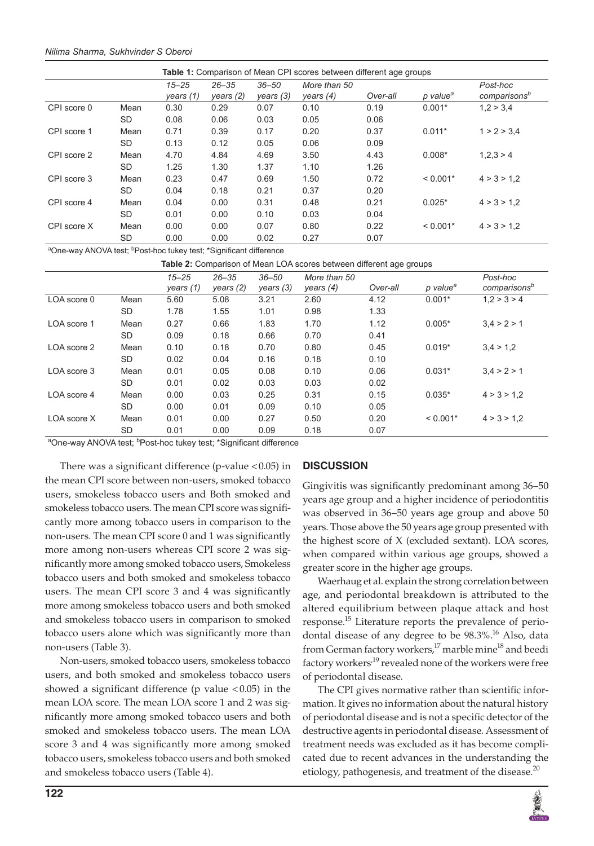#### *Nilima Sharma, Sukhvinder S Oberoi*

|             |           |                          | <b>Table 1:</b> Comparison of Mean CPI scores between different age groups |                        |                             |          |                      |                                      |  |  |  |  |  |
|-------------|-----------|--------------------------|----------------------------------------------------------------------------|------------------------|-----------------------------|----------|----------------------|--------------------------------------|--|--|--|--|--|
|             |           | $15 - 25$<br>years $(1)$ | $26 - 35$<br>years $(2)$                                                   | $36 - 50$<br>years (3) | More than 50<br>years $(4)$ | Over-all | p value <sup>a</sup> | Post-hoc<br>comparisons <sup>b</sup> |  |  |  |  |  |
| CPI score 0 | Mean      | 0.30                     | 0.29                                                                       | 0.07                   | 0.10                        | 0.19     | $0.001*$             | 1.2 > 3.4                            |  |  |  |  |  |
|             | SD.       | 0.08                     | 0.06                                                                       | 0.03                   | 0.05                        | 0.06     |                      |                                      |  |  |  |  |  |
| CPI score 1 | Mean      | 0.71                     | 0.39                                                                       | 0.17                   | 0.20                        | 0.37     | $0.011*$             | 1 > 2 > 3.4                          |  |  |  |  |  |
|             | <b>SD</b> | 0.13                     | 0.12                                                                       | 0.05                   | 0.06                        | 0.09     |                      |                                      |  |  |  |  |  |
| CPI score 2 | Mean      | 4.70                     | 4.84                                                                       | 4.69                   | 3.50                        | 4.43     | $0.008*$             | 1.2.3 > 4                            |  |  |  |  |  |
|             | <b>SD</b> | 1.25                     | 1.30                                                                       | 1.37                   | 1.10                        | 1.26     |                      |                                      |  |  |  |  |  |
| CPI score 3 | Mean      | 0.23                     | 0.47                                                                       | 0.69                   | 1.50                        | 0.72     | $< 0.001*$           | 4 > 3 > 1.2                          |  |  |  |  |  |
|             | SD.       | 0.04                     | 0.18                                                                       | 0.21                   | 0.37                        | 0.20     |                      |                                      |  |  |  |  |  |
| CPI score 4 | Mean      | 0.04                     | 0.00                                                                       | 0.31                   | 0.48                        | 0.21     | $0.025*$             | 4 > 3 > 1.2                          |  |  |  |  |  |
|             | <b>SD</b> | 0.01                     | 0.00                                                                       | 0.10                   | 0.03                        | 0.04     |                      |                                      |  |  |  |  |  |
| CPI score X | Mean      | 0.00                     | 0.00                                                                       | 0.07                   | 0.80                        | 0.22     | $< 0.001*$           | 4 > 3 > 1.2                          |  |  |  |  |  |
|             | SD        | 0.00                     | 0.00                                                                       | 0.02                   | 0.27                        | 0.07     |                      |                                      |  |  |  |  |  |

<sup>a</sup>One-way ANOVA test; <sup>b</sup>Post-hoc tukey test; \*Significant difference

**Table 2:** Comparison of Mean LOA scores between different age groups

|             |           | $15 - 25$<br>years $(1)$ | $26 - 35$<br>years $(2)$ | $36 - 50$<br>years (3) | More than 50<br>years $(4)$ | Over-all | p value <sup>a</sup> | Post-hoc<br>comparisons <sup>b</sup> |  |
|-------------|-----------|--------------------------|--------------------------|------------------------|-----------------------------|----------|----------------------|--------------------------------------|--|
| LOA score 0 | Mean      | 5.60                     | 5.08                     | 3.21                   | 2.60                        | 4.12     | $0.001*$             | 1.2 > 3 > 4                          |  |
|             | <b>SD</b> | 1.78                     | 1.55                     | 1.01                   | 0.98                        | 1.33     |                      |                                      |  |
| LOA score 1 | Mean      | 0.27                     | 0.66                     | 1.83                   | 1.70                        | 1.12     | $0.005*$             | 3.4 > 2 > 1                          |  |
|             | <b>SD</b> | 0.09                     | 0.18                     | 0.66                   | 0.70                        | 0.41     |                      |                                      |  |
| LOA score 2 | Mean      | 0.10                     | 0.18                     | 0.70                   | 0.80                        | 0.45     | $0.019*$             | 3.4 > 1.2                            |  |
|             | <b>SD</b> | 0.02                     | 0.04                     | 0.16                   | 0.18                        | 0.10     |                      |                                      |  |
| LOA score 3 | Mean      | 0.01                     | 0.05                     | 0.08                   | 0.10                        | 0.06     | $0.031*$             | 3.4 > 2 > 1                          |  |
|             | <b>SD</b> | 0.01                     | 0.02                     | 0.03                   | 0.03                        | 0.02     |                      |                                      |  |
| LOA score 4 | Mean      | 0.00                     | 0.03                     | 0.25                   | 0.31                        | 0.15     | $0.035*$             | 4 > 3 > 1.2                          |  |
|             | <b>SD</b> | 0.00                     | 0.01                     | 0.09                   | 0.10                        | 0.05     |                      |                                      |  |
| LOA score X | Mean      | 0.01                     | 0.00                     | 0.27                   | 0.50                        | 0.20     | $< 0.001*$           | 4 > 3 > 1.2                          |  |
|             | <b>SD</b> | 0.01                     | 0.00                     | 0.09                   | 0.18                        | 0.07     |                      |                                      |  |

<sup>a</sup>One-way ANOVA test; <sup>b</sup>Post-hoc tukey test; \*Significant difference

There was a significant difference (p-value  $< 0.05$ ) in the mean CPI score between non-users, smoked tobacco users, smokeless tobacco users and Both smoked and smokeless tobacco users. The mean CPI score was significantly more among tobacco users in comparison to the non-users. The mean CPI score 0 and 1 was significantly more among non-users whereas CPI score 2 was significantly more among smoked tobacco users, Smokeless tobacco users and both smoked and smokeless tobacco users. The mean CPI score 3 and 4 was significantly more among smokeless tobacco users and both smoked and smokeless tobacco users in comparison to smoked tobacco users alone which was significantly more than non-users (Table 3).

Non-users, smoked tobacco users, smokeless tobacco users, and both smoked and smokeless tobacco users showed a significant difference ( $p$  value <0.05) in the mean LOA score. The mean LOA score 1 and 2 was significantly more among smoked tobacco users and both smoked and smokeless tobacco users. The mean LOA score 3 and 4 was significantly more among smoked tobacco users, smokeless tobacco users and both smoked and smokeless tobacco users (Table 4).

# **DISCUSSION**

Gingivitis was significantly predominant among 36–50 years age group and a higher incidence of periodontitis was observed in 36–50 years age group and above 50 years. Those above the 50 years age group presented with the highest score of X (excluded sextant). LOA scores, when compared within various age groups, showed a greater score in the higher age groups.

Waerhaug et al. explain the strong correlation between age, and periodontal breakdown is attributed to the altered equilibrium between plaque attack and host response.<sup>15</sup> Literature reports the prevalence of periodontal disease of any degree to be  $98.3\%$ .<sup>16</sup> Also, data from German factory workers,<sup>17</sup> marble mine<sup>18</sup> and beedi factory workers<sup>19</sup> revealed none of the workers were free of periodontal disease.

The CPI gives normative rather than scientific information. It gives no information about the natural history of periodontal disease and is not a specific detector of the destructive agents in periodontal disease. Assessment of treatment needs was excluded as it has become complicated due to recent advances in the understanding the etiology, pathogenesis, and treatment of the disease. $^{20}$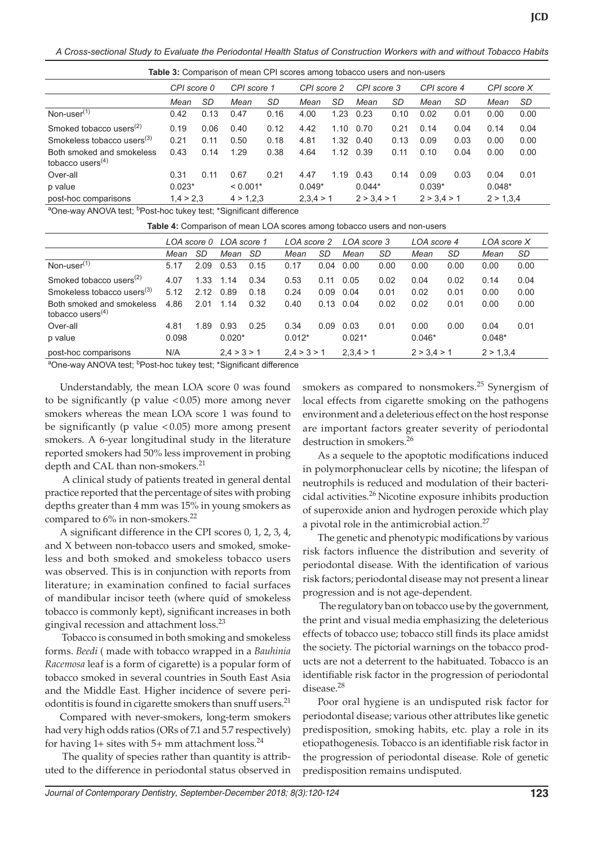*A Cross-sectional Study to Evaluate the Periodontal Health Status of Construction Workers with and without Tobacco Habits*

**Table 3:** Comparison of mean CPI scores among tobacco users and non-users

|                                                  | CPI score 0  |      | CPI score 1 |      | CPI score 2 |      | CPI score 3 |      | CPI score 4 |      | CPI score X |      |
|--------------------------------------------------|--------------|------|-------------|------|-------------|------|-------------|------|-------------|------|-------------|------|
|                                                  | SD<br>Mean   |      | Mean        | SD   | Mean        | SD   | Mean        | SD   | Mean        | SD   | Mean        | SD   |
| Non-user <sup>(1)</sup>                          | 0.42<br>0.13 |      | 0.47        | 0.16 | 4.00        | 1.23 | 0.23        | 0.10 | 0.02        | 0.01 | 0.00        | 0.00 |
| Smoked tobacco users <sup><math>(2)</math></sup> | 0.19         | 0.06 | 0.40        | 0.12 | 4.42        |      | 1.10 0.70   | 0.21 | 0.14        | 0.04 | 0.14        | 0.04 |
| Smokeless tobacco users <sup>(3)</sup>           | 0.21         | 0.11 | 0.50        | 0.18 | 4.81        | 1.32 | 0.40        | 0.13 | 0.09        | 0.03 | 0.00        | 0.00 |
| Both smoked and smokeless<br>tobacco users $(4)$ | 0.43<br>0.14 |      | 1.29        | 0.38 | 4.64        |      | 1.12 0.39   | 0.11 | 0.10        | 0.04 | 0.00        | 0.00 |
| Over-all                                         | 0.31         | 0.11 | 0.67        | 0.21 | 4.47        | 1.19 | 0.43        | 0.14 | 0.09        | 0.03 | 0.04        | 0.01 |
| p value                                          | $0.023*$     |      | $< 0.001*$  |      | $0.049*$    |      | $0.044*$    |      | $0.039*$    |      | $0.048*$    |      |
| post-hoc comparisons                             | 1,4 > 2,3    |      | 4 > 1.2.3   |      | 2,3,4 > 1   |      | 2 > 3.4 > 1 |      | 2 > 3.4 > 1 |      | 2 > 1,3,4   |      |
| $\sim$ $\sim$                                    |              |      |             |      |             |      |             |      |             |      |             |      |

<sup>a</sup>One-way ANOVA test; <sup>b</sup>Post-hoc tukey test; \*Significant difference

**Table 4:** Comparison of mean LOA scores among tobacco users and non-users

|                                                  | LOA score 0 LOA score 1 |             |          |             | LOA score 2 |           | LOA score 3 |             | LOA score 4 |           | LOA score X |      |
|--------------------------------------------------|-------------------------|-------------|----------|-------------|-------------|-----------|-------------|-------------|-------------|-----------|-------------|------|
|                                                  | Mean                    | SD          | Mean     | SD          | Mean        | SD        | Mean        | SD          | Mean        | SD        | Mean        | SD   |
| Non-user <sup>(1)</sup>                          | 5.17                    | 2.09        | 0.53     | 0.15        | 0.17        | 0.04      | 0.00        | 0.00        | 0.00        | 0.00      | 0.00        | 0.00 |
| Smoked tobacco users <sup><math>(2)</math></sup> | 4.07                    | 1.33        | 1.14     | 0.34        | 0.53        | 0.11      | 0.05        | 0.02        | 0.04        | 0.02      | 0.14        | 0.04 |
| Smokeless tobacco users <sup>(3)</sup>           | 5.12                    | 2.12        | 0.89     | 0.18        | 0.24        | 0.09      | 0.04        | 0.01        | 0.02        | 0.01      | 0.00        | 0.00 |
| Both smoked and smokeless<br>tobacco users $(4)$ | 4.86                    | 2.01        | 1.14     | 0.32        | 0.40        | 0.13      | 0.04        | 0.02        | 0.02        | 0.01      | 0.00        | 0.00 |
| Over-all                                         | 4.81                    | 1.89        | 0.93     | 0.25        | 0.34        | 0.09      | 0.03        | 0.01        | 0.00        | 0.00      | 0.04        | 0.01 |
| p value                                          | 0.098                   |             | $0.020*$ |             | $0.012*$    |           | $0.021*$    |             | $0.046*$    |           | $0.048*$    |      |
| N/A<br>post-hoc comparisons<br>$\sim$            |                         | 2.4 > 3 > 1 |          | 2.4 > 3 > 1 |             | 2,3,4 > 1 |             | 2 > 3.4 > 1 |             | 2 > 1,3,4 |             |      |

<sup>a</sup>One-way ANOVA test; <sup>b</sup>Post-hoc tukey test; \*Significant difference

Understandably, the mean LOA score 0 was found to be significantly (p value <0.05) more among never smokers whereas the mean LOA score 1 was found to be significantly (p value < 0.05) more among present smokers. A 6-year longitudinal study in the literature reported smokers had 50% less improvement in probing depth and CAL than non-smokers.<sup>21</sup>

 A clinical study of patients treated in general dental practice reported that the percentage of sites with probing depths greater than 4 mm was 15% in young smokers as compared to 6% in non-smokers.<sup>22</sup>

A significant difference in the CPI scores 0, 1, 2, 3, 4, and X between non-tobacco users and smoked, smokeless and both smoked and smokeless tobacco users was observed. This is in conjunction with reports from literature; in examination confined to facial surfaces of mandibular incisor teeth (where quid of smokeless tobacco is commonly kept), significant increases in both gingival recession and attachment loss.<sup>23</sup>

 Tobacco is consumed in both smoking and smokeless forms. *Beedi* ( made with tobacco wrapped in a *Bauhinia Racemosa* leaf is a form of cigarette) is a popular form of tobacco smoked in several countries in South East Asia and the Middle East. Higher incidence of severe periodontitis is found in cigarette smokers than snuff users.<sup>21</sup>

Compared with never-smokers, long-term smokers had very high odds ratios (ORs of 7.1 and 5.7 respectively) for having  $1+$  sites with  $5+$  mm attachment loss.<sup>24</sup>

 The quality of species rather than quantity is attributed to the difference in periodontal status observed in smokers as compared to nonsmokers.<sup>25</sup> Synergism of local effects from cigarette smoking on the pathogens environment and a deleterious effect on the host response are important factors greater severity of periodontal destruction in smokers.<sup>26</sup>

As a sequele to the apoptotic modifications induced in polymorphonuclear cells by nicotine; the lifespan of neutrophils is reduced and modulation of their bactericidal activities.<sup>26</sup> Nicotine exposure inhibits production of superoxide anion and hydrogen peroxide which play a pivotal role in the antimicrobial action.<sup>27</sup>

The genetic and phenotypic modifications by various risk factors influence the distribution and severity of periodontal disease. With the identification of various risk factors; periodontal disease may not present a linear progression and is not age-dependent.

 The regulatory ban on tobacco use by the government, the print and visual media emphasizing the deleterious effects of tobacco use; tobacco still finds its place amidst the society. The pictorial warnings on the tobacco products are not a deterrent to the habituated. Tobacco is an identifiable risk factor in the progression of periodontal disease.<sup>28</sup>

Poor oral hygiene is an undisputed risk factor for periodontal disease; various other attributes like genetic predisposition, smoking habits, etc. play a role in its etiopathogenesis. Tobacco is an identifiable risk factor in the progression of periodontal disease. Role of genetic predisposition remains undisputed.